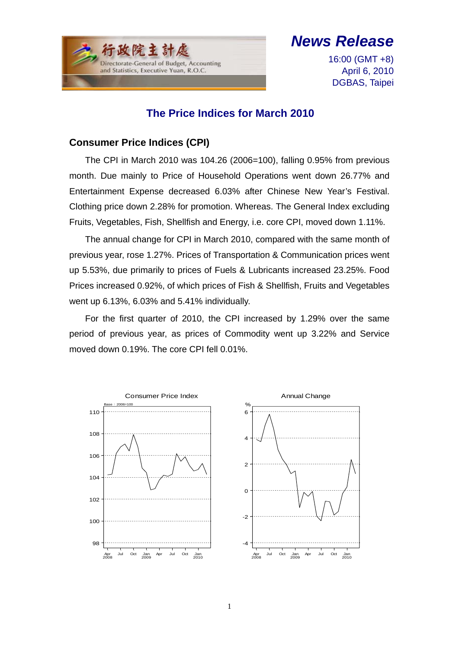

# *News Release*

16:00 (GMT +8) April 6, 2010 DGBAS, Taipei

### **The Price Indices for March 2010**

#### **Consumer Price Indices (CPI)**

The CPI in March 2010 was 104.26 (2006=100), falling 0.95% from previous month. Due mainly to Price of Household Operations went down 26.77% and Entertainment Expense decreased 6.03% after Chinese New Year's Festival. Clothing price down 2.28% for promotion. Whereas. The General Index excluding Fruits, Vegetables, Fish, Shellfish and Energy, i.e. core CPI, moved down 1.11%.

The annual change for CPI in March 2010, compared with the same month of previous year, rose 1.27%. Prices of Transportation & Communication prices went up 5.53%, due primarily to prices of Fuels & Lubricants increased 23.25%. Food Prices increased 0.92%, of which prices of Fish & Shellfish, Fruits and Vegetables went up 6.13%, 6.03% and 5.41% individually.

For the first quarter of 2010, the CPI increased by 1.29% over the same period of previous year, as prices of Commodity went up 3.22% and Service moved down 0.19%. The core CPI fell 0.01%.

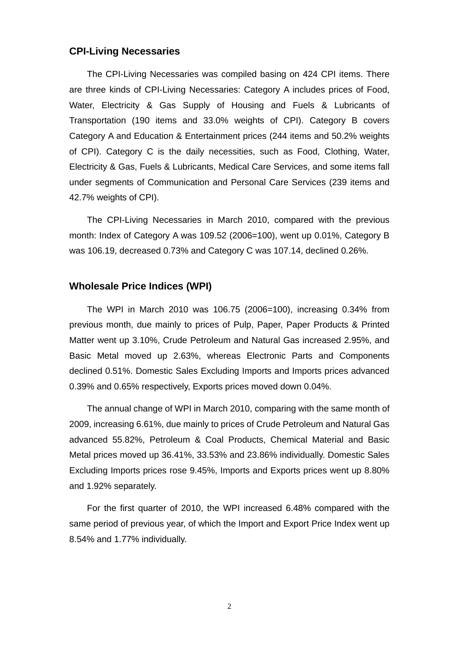#### **CPI-Living Necessaries**

The CPI-Living Necessaries was compiled basing on 424 CPI items. There are three kinds of CPI-Living Necessaries: Category A includes prices of Food, Water, Electricity & Gas Supply of Housing and Fuels & Lubricants of Transportation (190 items and 33.0% weights of CPI). Category B covers Category A and Education & Entertainment prices (244 items and 50.2% weights of CPI). Category C is the daily necessities, such as Food, Clothing, Water, Electricity & Gas, Fuels & Lubricants, Medical Care Services, and some items fall under segments of Communication and Personal Care Services (239 items and 42.7% weights of CPI).

The CPI-Living Necessaries in March 2010, compared with the previous month: Index of Category A was 109.52 (2006=100), went up 0.01%, Category B was 106.19, decreased 0.73% and Category C was 107.14, declined 0.26%.

#### **Wholesale Price Indices (WPI)**

The WPI in March 2010 was 106.75 (2006=100), increasing 0.34% from previous month, due mainly to prices of Pulp, Paper, Paper Products & Printed Matter went up 3.10%, Crude Petroleum and Natural Gas increased 2.95%, and Basic Metal moved up 2.63%, whereas Electronic Parts and Components declined 0.51%. Domestic Sales Excluding Imports and Imports prices advanced 0.39% and 0.65% respectively, Exports prices moved down 0.04%.

The annual change of WPI in March 2010, comparing with the same month of 2009, increasing 6.61%, due mainly to prices of Crude Petroleum and Natural Gas advanced 55.82%, Petroleum & Coal Products, Chemical Material and Basic Metal prices moved up 36.41%, 33.53% and 23.86% individually. Domestic Sales Excluding Imports prices rose 9.45%, Imports and Exports prices went up 8.80% and 1.92% separately.

For the first quarter of 2010, the WPI increased 6.48% compared with the same period of previous year, of which the Import and Export Price Index went up 8.54% and 1.77% individually.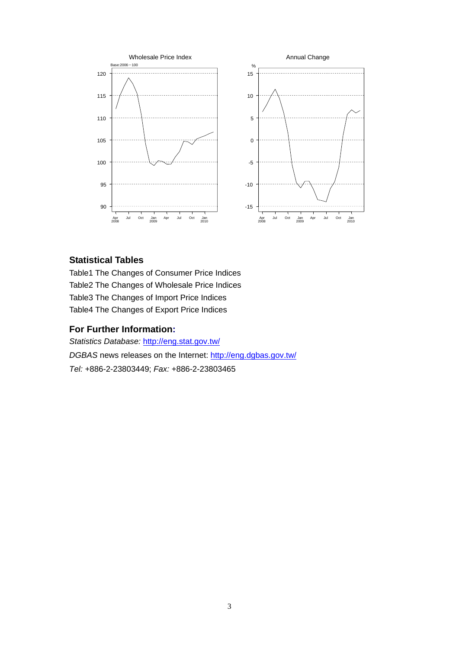

#### **Statistical Tables**

Table1 The Changes of Consumer Price Indices Table2 The Changes of Wholesale Price Indices Table3 The Changes of Import Price Indices Table4 The Changes of Export Price Indices

#### **For Further Information:**

*Statistics Database:* http://eng.stat.gov.tw/ *DGBAS* news releases on the Internet: http://eng.dgbas.gov.tw/ *Tel:* +886-2-23803449; *Fax:* +886-2-23803465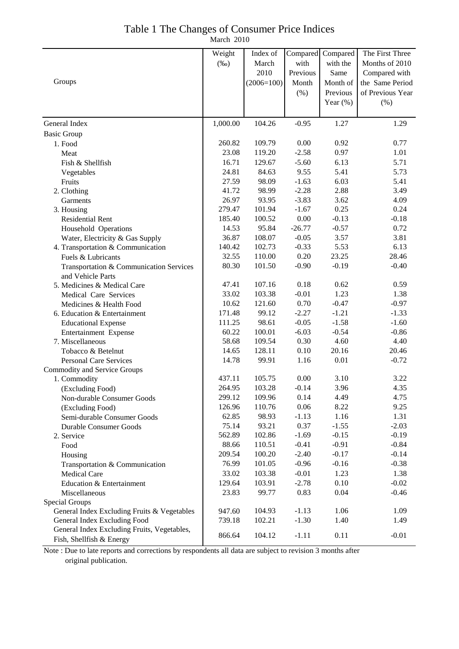|  |  | Table 1 The Changes of Consumer Price Indices                |  |
|--|--|--------------------------------------------------------------|--|
|  |  | $M_{\text{c}}$ $\sim$ $1$ $\sim$ $\sim$ $\sim$ $\sim$ $\sim$ |  |

March 2010

|                                                                         | Weight   | Index of     | Compared | Compared    | The First Three  |
|-------------------------------------------------------------------------|----------|--------------|----------|-------------|------------------|
|                                                                         | $(\%0)$  | March        | with     | with the    | Months of 2010   |
|                                                                         |          | 2010         | Previous | Same        | Compared with    |
| Groups                                                                  |          | $(2006=100)$ | Month    | Month of    | the Same Period  |
|                                                                         |          |              | (% )     | Previous    | of Previous Year |
|                                                                         |          |              |          | Year $(\%)$ | (% )             |
|                                                                         |          |              |          |             |                  |
| General Index                                                           | 1,000.00 | 104.26       | $-0.95$  | 1.27        | 1.29             |
| <b>Basic Group</b>                                                      |          |              |          |             |                  |
| 1. Food                                                                 | 260.82   | 109.79       | 0.00     | 0.92        | 0.77             |
| Meat                                                                    | 23.08    | 119.20       | $-2.58$  | 0.97        | 1.01             |
| Fish & Shellfish                                                        | 16.71    | 129.67       | $-5.60$  | 6.13        | 5.71             |
| Vegetables                                                              | 24.81    | 84.63        | 9.55     | 5.41        | 5.73             |
| Fruits                                                                  | 27.59    | 98.09        | $-1.63$  | 6.03        | 5.41             |
| 2. Clothing                                                             | 41.72    | 98.99        | $-2.28$  | 2.88        | 3.49             |
| Garments                                                                | 26.97    | 93.95        | $-3.83$  | 3.62        | 4.09             |
| 3. Housing                                                              | 279.47   | 101.94       | $-1.67$  | 0.25        | 0.24             |
| <b>Residential Rent</b>                                                 | 185.40   | 100.52       | 0.00     | $-0.13$     | $-0.18$          |
| Household Operations                                                    | 14.53    | 95.84        | $-26.77$ | $-0.57$     | 0.72             |
| Water, Electricity & Gas Supply                                         | 36.87    | 108.07       | $-0.05$  | 3.57        | 3.81             |
| 4. Transportation & Communication                                       | 140.42   | 102.73       | $-0.33$  | 5.53        | 6.13             |
| Fuels & Lubricants                                                      | 32.55    | 110.00       | 0.20     | 23.25       | 28.46            |
| Transportation & Communication Services                                 | 80.30    | 101.50       | $-0.90$  | $-0.19$     | $-0.40$          |
| and Vehicle Parts                                                       |          |              |          |             |                  |
| 5. Medicines & Medical Care                                             | 47.41    | 107.16       | 0.18     | 0.62        | 0.59             |
| Medical Care Services                                                   | 33.02    | 103.38       | $-0.01$  | 1.23        | 1.38             |
| Medicines & Health Food                                                 | 10.62    | 121.60       | 0.70     | $-0.47$     | $-0.97$          |
| 6. Education & Entertainment                                            | 171.48   | 99.12        | $-2.27$  | $-1.21$     | $-1.33$          |
| <b>Educational Expense</b>                                              | 111.25   | 98.61        | $-0.05$  | $-1.58$     | $-1.60$          |
| Entertainment Expense                                                   | 60.22    | 100.01       | $-6.03$  | $-0.54$     | $-0.86$          |
| 7. Miscellaneous                                                        | 58.68    | 109.54       | 0.30     | 4.60        | 4.40             |
| Tobacco & Betelnut                                                      | 14.65    | 128.11       | 0.10     | 20.16       | 20.46            |
| <b>Personal Care Services</b>                                           | 14.78    | 99.91        | 1.16     | 0.01        | $-0.72$          |
| Commodity and Service Groups                                            |          |              |          |             |                  |
| 1. Commodity                                                            | 437.11   | 105.75       | 0.00     | 3.10        | 3.22             |
| (Excluding Food)                                                        | 264.95   | 103.28       | $-0.14$  | 3.96        | 4.35             |
| Non-durable Consumer Goods                                              | 299.12   | 109.96       | 0.14     | 4.49        | 4.75             |
| (Excluding Food)                                                        | 126.96   | 110.76       | 0.06     | 8.22        | 9.25             |
| Semi-durable Consumer Goods                                             | 62.85    | 98.93        | $-1.13$  | 1.16        | 1.31             |
| <b>Durable Consumer Goods</b>                                           | 75.14    | 93.21        | 0.37     | $-1.55$     | $-2.03$          |
| 2. Service                                                              | 562.89   | 102.86       | $-1.69$  | $-0.15$     | $-0.19$          |
| Food                                                                    | 88.66    | 110.51       | $-0.41$  | $-0.91$     | $-0.84$          |
| Housing                                                                 | 209.54   | 100.20       | $-2.40$  | $-0.17$     | $-0.14$          |
| Transportation & Communication                                          | 76.99    | 101.05       | $-0.96$  | $-0.16$     | $-0.38$          |
| Medical Care                                                            | 33.02    | 103.38       | $-0.01$  | 1.23        | 1.38             |
| Education & Entertainment                                               | 129.64   | 103.91       | $-2.78$  | 0.10        | $-0.02$          |
| Miscellaneous                                                           | 23.83    | 99.77        | 0.83     | 0.04        | $-0.46$          |
| Special Groups                                                          |          |              |          |             |                  |
| General Index Excluding Fruits & Vegetables                             | 947.60   | 104.93       | $-1.13$  | 1.06        | 1.09             |
| General Index Excluding Food                                            | 739.18   | 102.21       | $-1.30$  | 1.40        | 1.49             |
| General Index Excluding Fruits, Vegetables,<br>Fish, Shellfish & Energy | 866.64   | 104.12       | $-1.11$  | 0.11        | $-0.01$          |

Note : Due to late reports and corrections by respondents all data are subject to revision 3 months after original publication.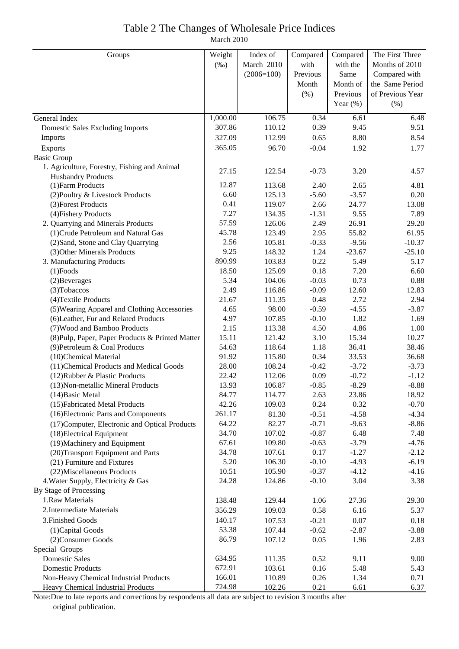## Table 2 The Changes of Wholesale Price Indices

March 2010

| Groups                                           | Weight<br>Index of |              | Compared | Compared    | The First Three  |  |
|--------------------------------------------------|--------------------|--------------|----------|-------------|------------------|--|
|                                                  | $(\%0)$            | March 2010   | with     | with the    | Months of 2010   |  |
|                                                  |                    | $(2006=100)$ | Previous | Same        | Compared with    |  |
|                                                  |                    |              | Month    | Month of    | the Same Period  |  |
|                                                  |                    |              | (%)      | Previous    | of Previous Year |  |
|                                                  |                    |              |          | Year $(\%)$ | (% )             |  |
| General Index                                    | 1,000.00           | 106.75       | 0.34     | 6.61        | 6.48             |  |
| <b>Domestic Sales Excluding Imports</b>          | 307.86             | 110.12       | 0.39     | 9.45        | 9.51             |  |
| Imports                                          | 327.09             | 112.99       | 0.65     | 8.80        | 8.54             |  |
| Exports                                          | 365.05             | 96.70        | $-0.04$  | 1.92        | 1.77             |  |
| <b>Basic Group</b>                               |                    |              |          |             |                  |  |
| 1. Agriculture, Forestry, Fishing and Animal     |                    |              |          |             |                  |  |
| <b>Husbandry Products</b>                        | 27.15              | 122.54       | $-0.73$  | 3.20        | 4.57             |  |
| (1) Farm Products                                | 12.87              | 113.68       | 2.40     | 2.65        | 4.81             |  |
| (2) Poultry & Livestock Products                 | 6.60               | 125.13       | $-5.60$  | $-3.57$     | 0.20             |  |
| (3) Forest Products                              | 0.41               | 119.07       | 2.66     | 24.77       | 13.08            |  |
| (4) Fishery Products                             | 7.27               | 134.35       | $-1.31$  | 9.55        | 7.89             |  |
| 2. Quarrying and Minerals Products               | 57.59              | 126.06       | 2.49     | 26.91       | 29.20            |  |
| (1) Crude Petroleum and Natural Gas              | 45.78              | 123.49       | 2.95     | 55.82       | 61.95            |  |
| (2) Sand, Stone and Clay Quarrying               | 2.56               | 105.81       | $-0.33$  | $-9.56$     | $-10.37$         |  |
| (3) Other Minerals Products                      | 9.25               | 148.32       | 1.24     | $-23.67$    | $-25.10$         |  |
| 3. Manufacturing Products                        | 890.99             | 103.83       | 0.22     | 5.49        | 5.17             |  |
| $(1)$ Foods                                      | 18.50              | 125.09       | 0.18     | 7.20        | 6.60             |  |
| (2) Beverages                                    | 5.34               | 104.06       | $-0.03$  | 0.73        | 0.88             |  |
| (3) Tobaccos                                     | 2.49               | 116.86       | $-0.09$  | 12.60       | 12.83            |  |
| (4) Textile Products                             | 21.67              | 111.35       | 0.48     | 2.72        | 2.94             |  |
| (5) Wearing Apparel and Clothing Accessories     | 4.65               | 98.00        | $-0.59$  | $-4.55$     | $-3.87$          |  |
| (6) Leather, Fur and Related Products            | 4.97               | 107.85       | $-0.10$  | 1.82        | 1.69             |  |
| (7) Wood and Bamboo Products                     | 2.15               | 113.38       | 4.50     | 4.86        | 1.00             |  |
| (8) Pulp, Paper, Paper Products & Printed Matter | 15.11              | 121.42       | 3.10     | 15.34       | 10.27            |  |
| (9) Petroleum & Coal Products                    | 54.63              | 118.64       | 1.18     | 36.41       | 38.46            |  |
| (10)Chemical Material                            | 91.92              | 115.80       | 0.34     | 33.53       | 36.68            |  |
| (11) Chemical Products and Medical Goods         | 28.00              | 108.24       | $-0.42$  | $-3.72$     | $-3.73$          |  |
| (12) Rubber & Plastic Products                   | 22.42              | 112.06       | 0.09     | $-0.72$     | $-1.12$          |  |
| (13) Non-metallic Mineral Products               | 13.93              | 106.87       | $-0.85$  | $-8.29$     | $-8.88$          |  |
| $(14)$ Basic Metal                               | 84.77              | 114.77       | 2.63     | 23.86       | 18.92            |  |
| (15) Fabricated Metal Products                   | 42.26              | 109.03       | 0.24     | 0.32        | $-0.70$          |  |
| (16) Electronic Parts and Components             | 261.17             | 81.30        | $-0.51$  | $-4.58$     | $-4.34$          |  |
| (17) Computer, Electronic and Optical Products   | 64.22              | 82.27        | $-0.71$  | $-9.63$     | $-8.86$          |  |
| (18) Electrical Equipment                        | 34.70              | 107.02       | $-0.87$  | 6.48        | 7.48             |  |
| (19) Machinery and Equipment                     | 67.61              | 109.80       | $-0.63$  | $-3.79$     | $-4.76$          |  |
| (20)Transport Equipment and Parts                | 34.78              | 107.61       | 0.17     | $-1.27$     | $-2.12$          |  |
| (21) Furniture and Fixtures                      | 5.20               | 106.30       | $-0.10$  | $-4.93$     | $-6.19$          |  |
| (22) Miscellaneous Products                      | 10.51              | 105.90       | $-0.37$  | $-4.12$     | $-4.16$          |  |
| 4. Water Supply, Electricity & Gas               | 24.28              | 124.86       | $-0.10$  | 3.04        | 3.38             |  |
| By Stage of Processing                           |                    |              |          |             |                  |  |
| 1.Raw Materials                                  | 138.48             | 129.44       | 1.06     | 27.36       | 29.30            |  |
| 2. Intermediate Materials                        | 356.29             | 109.03       | 0.58     | 6.16        | 5.37             |  |
| 3. Finished Goods                                | 140.17             | 107.53       | $-0.21$  | 0.07        | 0.18             |  |
| (1) Capital Goods                                | 53.38              | 107.44       | $-0.62$  | $-2.87$     | $-3.88$          |  |
| (2) Consumer Goods                               | 86.79              | 107.12       | 0.05     | 1.96        | 2.83             |  |
| Special Groups                                   |                    |              |          |             |                  |  |
| <b>Domestic Sales</b>                            | 634.95             | 111.35       | 0.52     | 9.11        | 9.00             |  |
| <b>Domestic Products</b>                         | 672.91             | 103.61       | 0.16     | 5.48        | 5.43             |  |
| Non-Heavy Chemical Industrial Products           | 166.01             | 110.89       | 0.26     | 1.34        | 0.71             |  |
| Heavy Chemical Industrial Products               | 724.98             | 102.26       | 0.21     | 6.61        | 6.37             |  |

Note:Due to late reports and corrections by respondents all data are subject to revision 3 months after original publication.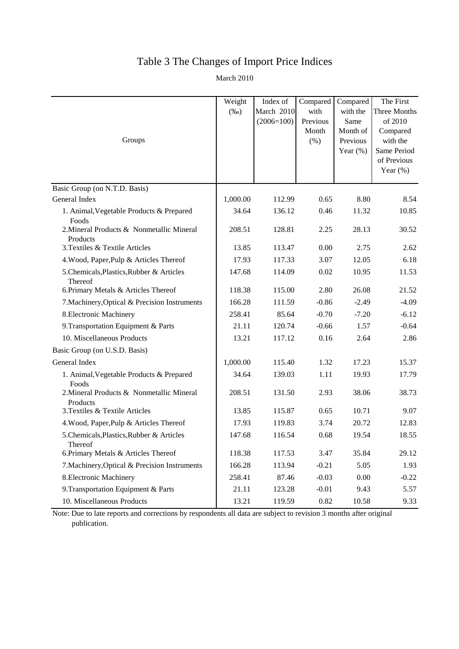### Table 3 The Changes of Import Price Indices

March 2010

| Groups                                                | Weight<br>$(\%0)$ | Index of<br>March 2010<br>$(2006=100)$ | Compared<br>with<br>Previous<br>Month<br>$(\% )$ | Compared<br>with the<br>Same<br>Month of<br>Previous<br>Year $(\%)$ | The First<br>Three Months<br>of 2010<br>Compared<br>with the<br>Same Period<br>of Previous<br>Year $(\%)$ |
|-------------------------------------------------------|-------------------|----------------------------------------|--------------------------------------------------|---------------------------------------------------------------------|-----------------------------------------------------------------------------------------------------------|
| Basic Group (on N.T.D. Basis)                         |                   |                                        |                                                  |                                                                     |                                                                                                           |
| General Index                                         | 1,000.00          | 112.99                                 | 0.65                                             | 8.80                                                                | 8.54                                                                                                      |
| 1. Animal, Vegetable Products & Prepared<br>Foods     | 34.64             | 136.12                                 | 0.46                                             | 11.32                                                               | 10.85                                                                                                     |
| 2. Mineral Products & Nonmetallic Mineral<br>Products | 208.51            | 128.81                                 | 2.25                                             | 28.13                                                               | 30.52                                                                                                     |
| 3. Textiles & Textile Articles                        | 13.85             | 113.47                                 | 0.00                                             | 2.75                                                                | 2.62                                                                                                      |
| 4. Wood, Paper, Pulp & Articles Thereof               | 17.93             | 117.33                                 | 3.07                                             | 12.05                                                               | 6.18                                                                                                      |
| 5. Chemicals, Plastics, Rubber & Articles<br>Thereof  | 147.68            | 114.09                                 | 0.02                                             | 10.95                                                               | 11.53                                                                                                     |
| 6. Primary Metals & Articles Thereof                  | 118.38            | 115.00                                 | 2.80                                             | 26.08                                                               | 21.52                                                                                                     |
| 7. Machinery, Optical & Precision Instruments         | 166.28            | 111.59                                 | $-0.86$                                          | $-2.49$                                                             | $-4.09$                                                                                                   |
| 8. Electronic Machinery                               | 258.41            | 85.64                                  | $-0.70$                                          | $-7.20$                                                             | $-6.12$                                                                                                   |
| 9. Transportation Equipment & Parts                   | 21.11             | 120.74                                 | $-0.66$                                          | 1.57                                                                | $-0.64$                                                                                                   |
| 10. Miscellaneous Products                            | 13.21             | 117.12                                 | 0.16                                             | 2.64                                                                | 2.86                                                                                                      |
| Basic Group (on U.S.D. Basis)                         |                   |                                        |                                                  |                                                                     |                                                                                                           |
| General Index                                         | 1,000.00          | 115.40                                 | 1.32                                             | 17.23                                                               | 15.37                                                                                                     |
| 1. Animal, Vegetable Products & Prepared<br>Foods     | 34.64             | 139.03                                 | 1.11                                             | 19.93                                                               | 17.79                                                                                                     |
| 2. Mineral Products & Nonmetallic Mineral<br>Products | 208.51            | 131.50                                 | 2.93                                             | 38.06                                                               | 38.73                                                                                                     |
| 3. Textiles & Textile Articles                        | 13.85             | 115.87                                 | 0.65                                             | 10.71                                                               | 9.07                                                                                                      |
| 4. Wood, Paper, Pulp & Articles Thereof               | 17.93             | 119.83                                 | 3.74                                             | 20.72                                                               | 12.83                                                                                                     |
| 5. Chemicals, Plastics, Rubber & Articles<br>Thereof  | 147.68            | 116.54                                 | 0.68                                             | 19.54                                                               | 18.55                                                                                                     |
| 6. Primary Metals & Articles Thereof                  | 118.38            | 117.53                                 | 3.47                                             | 35.84                                                               | 29.12                                                                                                     |
| 7. Machinery, Optical & Precision Instruments         | 166.28            | 113.94                                 | $-0.21$                                          | 5.05                                                                | 1.93                                                                                                      |
| 8. Electronic Machinery                               | 258.41            | 87.46                                  | $-0.03$                                          | 0.00                                                                | $-0.22$                                                                                                   |
| 9. Transportation Equipment & Parts                   | 21.11             | 123.28                                 | $-0.01$                                          | 9.43                                                                | 5.57                                                                                                      |
| 10. Miscellaneous Products                            | 13.21             | 119.59                                 | 0.82                                             | 10.58                                                               | 9.33                                                                                                      |

Note: Due to late reports and corrections by respondents all data are subject to revision 3 months after original publication.